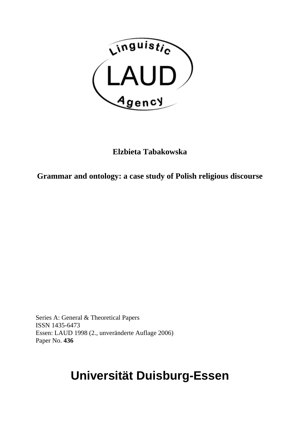

**Elzbieta Tabakowska** 

**Grammar and ontology: a case study of Polish religious discourse** 

Series A: General & Theoretical Papers ISSN 1435-6473 Essen: LAUD 1998 (2., unveränderte Auflage 2006) Paper No. **436**

## **Universität Duisburg-Essen**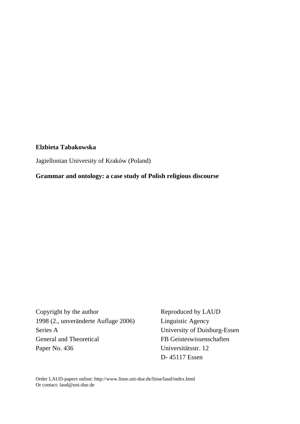## **Elzbieta Tabakowska**

Jagiellonian University of Kraków (Poland)

**Grammar and ontology: a case study of Polish religious discourse** 

Copyright by the author Reproduced by LAUD 1998 (2., unveränderte Auflage 2006) Linguistic Agency Series A University of Duisburg-Essen General and Theoretical FB Geisteswissenschaften Paper No. 436 Universitätsstr. 12

D- 45117 Essen

Order LAUD-papers online: http://www.linse.uni-due.de/linse/laud/index.html Or contact: [laud@uni-due.de](mailto:laud@uni-due.de)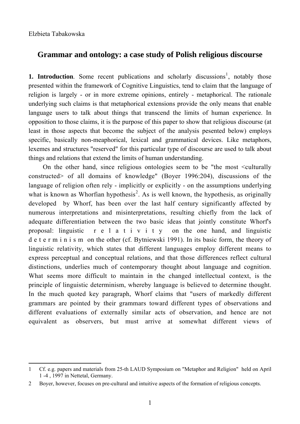$\overline{a}$ 

## **Grammar and ontology: a case study of Polish religious discourse**

**[1](#page-2-0). Introduction**. Some recent publications and scholarly discussions<sup>1</sup>, notably those presented within the framework of Cognitive Linguistics, tend to claim that the language of religion is largely - or in more extreme opinions, entirely - metaphorical. The rationale underlying such claims is that metaphorical extensions provide the only means that enable language users to talk about things that transcend the limits of human experience. In opposition to those claims, it is the purpose of this paper to show that religious discourse (at least in those aspects that become the subject of the analysis pesented below) employs specific, basically non-meaphorical, lexical and grammatical devices. Like metaphors, lexemes and structures "reserved" for this particular type of discourse are used to talk about things and relations that extend the limits of human understanding.

On the other hand, since religious ontologies seem to be "the most <culturally constructed> of all domains of knowledge" (Boyer 1996:204), discussions of the language of religion often rely - implicitly or explicitly - on the assumptions underlying what is known as Whorfian hypothesis<sup>[2](#page-2-1)</sup>. As is well known, the hypothesis, as originally developed by Whorf, has been over the last half century significantly affected by numerous interpretations and misinterpretations, resulting chiefly from the lack of adequate differentiation between the two basic ideas that jointly constitute Whorf's proposal: linguistic r e l a t i v i t y on the one hand, and linguistic d e t e r m i n i s m on the other (cf. Bytniewski 1991). In its basic form, the theory of linguistic relativity, which states that different languages employ different means to express perceptual and conceptual relations, and that those differences reflect cultural distinctions, underlies much of contemporary thought about language and cognition. What seems more difficult to maintain in the changed intellectual context, is the principle of linguistic determinism, whereby language is believed to determine thought. In the much quoted key paragraph, Whorf claims that "users of markedly different grammars are pointed by their grammars toward different types of observations and different evaluations of externally similar acts of observation, and hence are not equivalent as observers, but must arrive at somewhat different views of

<span id="page-2-0"></span><sup>1</sup> Cf. e.g. papers and materials from 25-th LAUD Symposium on "Metaphor and Religion" held on April 1 -4 , 1997 in Nettetal, Germany.

<span id="page-2-1"></span><sup>2</sup> Boyer, however, focuses on pre-cultural and intuitive aspects of the formation of religious concepts.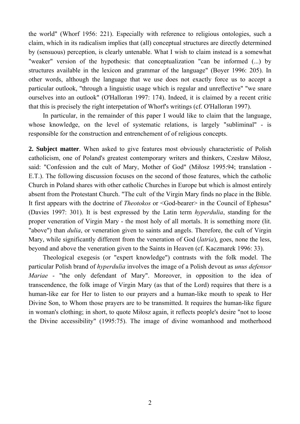the world" (Whorf 1956: 221). Especially with reference to religious ontologies, such a claim, which in its radicalism implies that (all) conceptual structures are directly determined by (sensuous) perception, is clearly untenable. What I wish to claim instead is a somewhat "weaker" version of the hypothesis: that conceptualization "can be informed (...) by structures available in the lexicon and grammar of the language" (Boyer 1996: 205). In other words, although the language that we use does not exactly force us to accept a particular outlook, "through a linguistic usage which is regular and unreflective" "we snare ourselves into an outlook" (O'Halloran 1997: 174). Indeed, it is claimed by a recent critic that this is precisely the right interpetation of Whorf's writings (cf. O'Halloran 1997).

In particular, in the remainder of this paper I would like to claim that the language, whose knowledge, on the level of systematic relations, is largely "subliminal" - is responsible for the construction and entrenchement of of religious concepts.

**2. Subject matter**. When asked to give features most obviously characteristic of Polish catholicism, one of Poland's greatest contemporary writers and thinkers, Czesław Miłosz, said: "Confession and the cult of Mary, Mother of God" (Miłosz 1995:94; translation - E.T.). The following discussion focuses on the second of those features, which the catholic Church in Poland shares with other catholic Churches in Europe but which is almost entirely absent from the Protestant Church. "The cult of the Virgin Mary finds no place in the Bible. It first appears with the doctrine of *Theotokos* or <God-bearer> in the Council of Ephesus" (Davies 1997: 301). It is best expressed by the Latin term *hyperdulia*, standing for the proper veneration of Virgin Mary - the most holy of all mortals. It is something more (lit. "above") than *dulia*, or veneration given to saints and angels. Therefore, the cult of Virgin Mary, while significantly different from the veneration of God (*latria*), goes, none the less, beyond and above the veneration given to the Saints in Heaven (cf. Kaczmarek 1996: 33).

Theological exegesis (or "expert knowledge") contrasts with the folk model. The particular Polish brand of *hyperdulia* involves the image of a Polish devout as *unus defensor Mariae* - "the only defendant of Mary". Moreover, in opposition to the idea of transcendence, the folk image of Virgin Mary (as that of the Lord) requires that there is a human-like ear for Her to listen to our prayers and a human-like mouth to speak to Her Divine Son, to Whom those prayers are to be transmitted. It requires the human-like figure in woman's clothing; in short, to quote Miłosz again, it reflects people's desire "not to loose the Divine accessibility" (1995:75). The image of divine womanhood and motherhood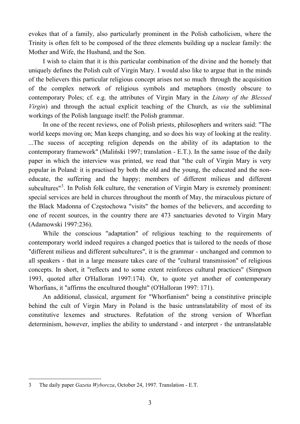evokes that of a family, also particularly prominent in the Polish catholicism, where the Trinity is often felt to be composed of the three elements building up a nuclear family: the Mother and Wife, the Husband, and the Son.

I wish to claim that it is this particular combination of the divine and the homely that uniquely defines the Polish cult of Virgin Mary. I would also like to argue that in the minds of the believers this particular religious concept arises not so much through the acquisition of the complex network of religious symbols and metaphors (mostly obscure to contemporary Poles; cf. e.g. the attributes of Virgin Mary in the *Litany of the Blessed Virgin*) and through the actual explicit teaching of the Church, as *via* the subliminal workings of the Polish language itself: the Polish grammar.

In one of the recent reviews, one of Polish priests, philosophers and writers said: "The world keeps moving on; Man keeps changing, and so does his way of looking at the reality. ...The sucess of accepting religion depends on the ability of its adaptation to the contemporary framework" (Maliński 1997; translation - E.T.). In the same issue of the daily paper in which the interview was printed, we read that "the cult of Virgin Mary is very popular in Poland: it is practised by both the old and the young, the educated and the noneducate, the suffering and the happy; members of different milieus and different subcultures<sup>"[3](#page-4-0)</sup>. In Polish folk culture, the veneration of Virgin Mary is exremely prominent: special services are held in churces throughout the month of May, the miraculous picture of the Black Madonna of Częstochowa "visits" the homes of the believers, and according to one of recent sources, in the country there are 473 sanctuaries devoted to Virgin Mary (Adamowski 1997:236).

While the conscious "adaptation" of religious teaching to the requirements of contemporary world indeed requires a changed poetics that is tailored to the needs of those "different milieus and different subcultures", it is the grammar - unchanged and common to all speakers - that in a large measure takes care of the "cultural transmission" of religious concepts. In short, it "reflects and to some extent reinforces cultural practices" (Simpson 1993, quoted after O'Halloran 1997:174). Or, to quote yet another of contemporary Whorfians, it "affirms the encultured thought" (O'Halloran 1997: 171).

An additional, classical, argument for "Whorfianism" being a constitutive principle behind the cult of Virgin Mary in Poland is the basic untranslatability of most of its constitutive lexemes and structures. Refutation of the strong version of Whorfian determinism, however, implies the ability to understand - and interpret - the untranslatable

 $\overline{a}$ 

<span id="page-4-0"></span><sup>3</sup> The daily paper *Gazeta Wyborcza*, October 24, 1997. Translation - E.T.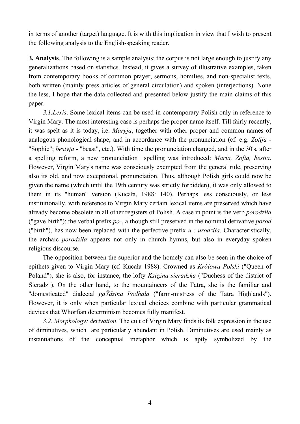in terms of another (target) language. It is with this implication in view that I wish to present the following analysis to the English-speaking reader.

**3. Analysis**. The following is a sample analysis; the corpus is not large enough to justify any generalizations based on statistics. Instead, it gives a survey of illustrative examples, taken from contemporary books of common prayer, sermons, homilies, and non-specialist texts, both written (mainly press articles of general circulation) and spoken (interjections). None the less, I hope that the data collected and presented below justify the main claims of this paper.

*3.1.Lexis*. Some lexical items can be used in contemporary Polish only in reference to Virgin Mary. The most interesting case is perhaps the proper name itself. Till fairly recently, it was spelt as it is today, i.e. *Maryja*, together with other proper and common names of analogous phonological shape, and in accordance with the pronunciation (cf. e.g. *Zofija* - "Sophie"; *bestyja* - "beast", etc.). With time the pronunciation changed, and in the 30's, after a spelling reform, a new pronunciation spelling was introduced: *Maria, Zofia, bestia*. However, Virgin Mary's name was consciously exempted from the general rule, preserving also its old, and now exceptional, pronunciation. Thus, although Polish girls could now be given the name (which until the 19th century was strictly forbidden), it was only allowed to them in its "human" version (Kucała, 1988: 140). Perhaps less consciously, or less institutionally, with reference to Virgin Mary certain lexical items are preserved which have already become obsolete in all other registers of Polish. A case in point is the verb *porodziła* ("gave birth"): the verbal prefix *po-*, although still preserved in the nominal derivative *poród*  ("birth"), has now been replaced with the perfective prefix *u-: urodziła*. Characteristically, the archaic *porodziła* appears not only in church hymns, but also in everyday spoken religious discourse.

The opposition between the superior and the homely can also be seen in the choice of epithets given to Virgin Mary (cf. Kucała 1988). Crowned as *Królowa Polski* ("Queen of Poland"), she is also, for instance, the lofty *Księżna sieradzka* ("Duchess of the district of Sieradz"). On the other hand, to the mountaineers of the Tatra, she is the familiar and "domesticated" dialectal *gaŸdzina Podhala* ("farm-mistress of the Tatra Highlands"). However, it is only when particular lexical choices combine with particular grammatical devices that Whorfian determinism becomes fully manifest.

*3.2. Morphology: derivation*. The cult of Virgin Mary finds its folk expression in the use of diminutives, which are particularly abundant in Polish. Diminutives are used mainly as instantiations of the conceptual metaphor which is aptly symbolized by the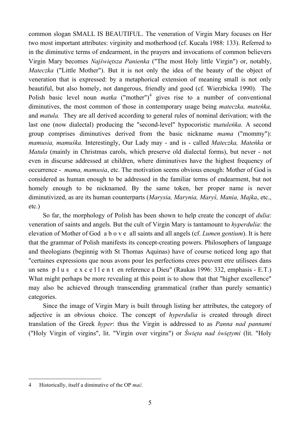common slogan SMALL IS BEAUTIFUL. The veneration of Virgin Mary focuses on Her two most important attributes: virginity and motherhood (cf. Kucała 1988: 133). Referred to in the diminutive terms of endearment, in the prayers and invocations of common believers Virgin Mary becomes *Najświętsza Panienka* ("The most Holy little Virgin") or, notably, *Mateczka* ("Little Mother"). But it is not only the idea of the beauty of the object of veneration that is expressed: by a metaphorical extension of meaning small is not only beautiful, but also homely, not dangerous, friendly and good (cf. Wierzbicka 1990). The Polish basic level noun *matka* ("mother")<sup>[4](#page-6-0)</sup> gives rise to a number of conventional diminutives, the most common of those in contemporary usage being *mateczka, mateńka,* and *matula.* They are all derived according to general rules of nominal derivation; with the last one (now dialectal) producing the "second-level" hypocoristic m*atuleńka.* A second group comprises diminutives derived from the basic nickname *mama* ("mommy"): *mamusia, mamuśka.* Interestingly, Our Lady may - and is - called *Mateczka, Mateńka* or *Matula* (mainly in Christmas carols, which preserve old dialectal forms), but never - not even in discurse addressed at children, where diminutives have the highest frequency of occurrence - *mama, mamusia*, etc. The motivation seems obvious enough: Mother of God is considered as human enough to be addressed in the familiar terms of endearment, but not homely enough to be nicknamed. By the same token, her proper name is never diminutivized, as are its human counterparts (*Marysia, Marynia, Maryś, Mania, Majka*, etc., etc.)

So far, the morphology of Polish has been shown to help create the concept of *dulia*: veneration of saints and angels. But the cult of Virgin Mary is tantamount to *hyperdulia*: the elevation of Mother of God a b o v e all saints and all angels (cf. *Lumen gentium*). It is here that the grammar of Polish manifests its concept-creating powers. Philosophers of language and theologians (beginnig with St Thomas Aquinas) have of course noticed long ago that "certaines expressions que nous avons pour les perfections crees peuvent etre utilisees dans un sens p l u s e x c e l l e n t en reference a Dieu" (Raukas 1996: 332, emphasis - E.T.) What might perhaps be more revealing at this point is to show that that "higher excellence" may also be achieved through transcending grammatical (rather than purely semantic) categories.

Since the image of Virgin Mary is built through listing her attributes, the category of adjective is an obvious choice. The concept of *hyperdulia* is created through direct translation of the Greek *hyper*: thus the Virgin is addressed to as *Panna nad pannami* ("Holy Virgin of virgins", lit. "Virgin over virgins") or *Święta nad świętymi* (lit. "Holy

 $\overline{a}$ 

<span id="page-6-0"></span><sup>4</sup> Historically, itself a diminutive of the OP *mać.*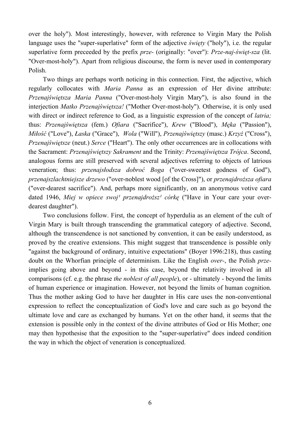over the holy"). Most interestingly, however, with reference to Virgin Mary the Polish language uses the "super-superlative" form of the adjective *święty* ("holy"), i.e. the regular superlative form preceeded by the prefix *prze-* (originally: "over"): *Prze-naj-święt-sza* (lit. "Over-most-holy"). Apart from religious discourse, the form is never used in contemporary Polish.

Two things are perhaps worth noticing in this connection. First, the adjective, which regularly collocates with *Maria Panna* as an expression of Her divine attribute: *Przenajświętsza Maria Panna* ("Over-most-holy Virgin Mary"), is also found in the interjection *Matko Przenajświętsza!* ("Mother Over-most-holy"). Otherwise, it is only used with direct or indirect reference to God, as a linguistic expression of the concept of *latria;* thus: *Przenajświętsza* (fem.) *Ofiara* ("Sacrifice"), *Krew* ("Blood"), *Męka* ("Passion"), *Miłość* ("Love"), *Łaska* ("Grace"), *Wola* ("Will"), *Przenajświętszy* (masc.) *Krzyż* ("Cross"), *Przenajświętsze* (neut.) *Serce* ("Heart"). The only other occurrences are in collocations with the Sacrament: *Przenajświętszy Sakrament* and the Trinity: *Przenajświętsza Trójca*. Second, analogous forms are still preserved with several adjectives referring to objects of latrious veneration; thus: *przenajsłodsza dobroć Boga* ("over-sweetest godness of God"), *przenajszlachtniejsze drzewo* ("over-noblest wood [of the Cross]"), or *przenajdroższa ofiara*  ("over-dearest sacrifice"). And, perhaps more significantly, on an anonymous votive card dated 1946, *Miej w opiece swoj<sup>1</sup> przenajdroższ<sup>1</sup> córkę* ("Have in Your care your overdearest daughter").

Two conclusions follow. First, the concept of hyperdulia as an element of the cult of Virgin Mary is built through transcending the grammatical category of adjective. Second, although the transcendence is not sanctioned by convention, it can be easily understood, as proved by the creative extensions. This might suggest that transcendence is possible only "against the background of ordinary, intuitive expectations" (Boyer 1996:218), thus casting doubt on the Whorfian principle of determinism. Like the English *over-*, the Polish *prze*implies going above and beyond - in this case, beyond the relativity involved in all comparisons (cf. e.g. the phrase *the noblest of all people*), or - ultimately - beyond the limits of human experience or imagination. However, not beyond the limits of human cognition. Thus the mother asking God to have her daughter in His care uses the non-conventional expression to reflect the conceptualization of God's love and care such as go beyond the ultimate love and care as exchanged by humans. Yet on the other hand, it seems that the extension is possible only in the context of the divine attributes of God or His Mother; one may then hypothesise that the exposition to the "super-superlative" does indeed condition the way in which the object of veneration is conceptualized.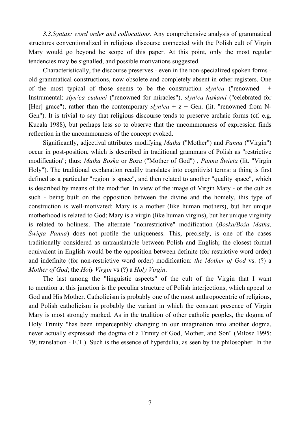*3.3.Syntax: word order and collocations*. Any comprehensive analysis of grammatical structures conventionalized in religious discourse connected with the Polish cult of Virgin Mary would go beyond he scope of this paper. At this point, only the most regular tendencies may be signalled, and possible motivations suggested.

Characteristically, the discourse preserves - even in the non-specialized spoken forms old grammatical constructions, now obsolete and completely absent in other registers. One of the most typical of those seems to be the construction  $s/vn'ca$  ("renowned + Instrumental: *słyn<sup>1</sup>ca cudami* ("renowned for miracles"), *słyn<sup>1</sup>ca łaskami* ("celebrated for [Her] grace"), rather than the contemporary  $s\frac{1}{c}$  a + z + Gen. (lit. "renowned from N-Gen"). It is trivial to say that religious discourse tends to preserve archaic forms (cf. e.g. Kucała 1988), but perhaps less so to observe that the uncommonness of expression finds reflection in the uncommonness of the concept evoked.

Significantly, adjectival attributes modifying *Matka* ("Mother") and *Panna* ("Virgin") occur in post-position, which is described in traditional grammars of Polish as "restrictive modification"; thus: *Matka Boska* or *Boża* ("Mother of God") , *Panna Święta* (lit. "Virgin Holy"). The traditional explanation readily translates into cognitivist terms: a thing is first defined as a particular "region is space", and then related to another "quality space", which is described by means of the modifier. In view of the image of Virgin Mary - or the cult as such - being built on the opposition between the divine and the homely, this type of construction is well-motivated: Mary is a mother (like human mothers), but her unique motherhood is related to God; Mary is a virgin (like human virgins), but her unique virginity is related to holiness. The alternate "nonrestrictive" modification (*Boska/Boża Matka, Święta Panna*) does not profile the uniqueness. This, precisely, is one of the cases traditionally considered as untranslatable between Polish and English; the closest formal equivalent in English would be the opposition between definite (for restrictive word order) and indefinite (for non-restrictive word order) modification: *the Mother of God* vs. (?) a *Mother of God*; the *Holy Virgin* vs (?) a *Holy Virgin*.

The last among the "linguistic aspects" of the cult of the Virgin that I want to mention at this junction is the peculiar structure of Polish interjections, which appeal to God and His Mother. Catholicism is probably one of the most anthropocentric of religions, and Polish catholicism is probably the variant in which the constant presence of Virgin Mary is most strongly marked. As in the tradition of other catholic peoples, the dogma of Holy Trinity "has been imperceptibly changing in our imagination into another dogma, never actually expressed: the dogma of a Trinity of God, Mother, and Son" (Miłosz 1995: 79; translation - E.T.). Such is the essence of hyperdulia, as seen by the philosopher. In the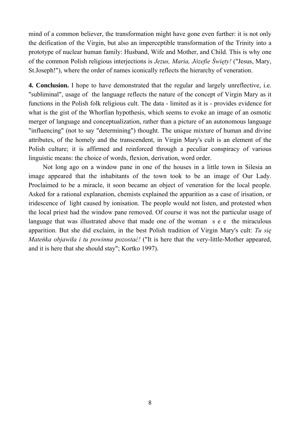mind of a common believer, the transformation might have gone even further: it is not only the deification of the Virgin, but also an imperceptible transformation of the Trinity into a prototype of nuclear human family: Husband, Wife and Mother, and Child. This is why one of the common Polish religious interjections is *Jezus, Maria, Józefie Święty!* ("Jesus, Mary, St.Joseph!"), where the order of names iconically reflects the hierarchy of veneration.

**4. Conclusion.** I hope to have demonstrated that the regular and largely unreflective, i.e. "subliminal", usage of the language reflects the nature of the concept of Virgin Mary as it functions in the Polish folk religious cult. The data - limited as it is - provides evidence for what is the gist of the Whorfian hypothesis, which seems to evoke an image of an osmotic merger of language and conceptualization, rather than a picture of an autonomous language "influencing" (not to say "determining") thought. The unique mixture of human and divine attributes, of the homely and the transcendent, in Virgin Mary's cult is an element of the Polish culture; it is affirmed and reinforced through a peculiar conspiracy of various linguistic means: the choice of words, flexion, derivation, word order.

Not long ago on a window pane in one of the houses in a little town in Silesia an image appeared that the inhabitants of the town took to be an image of Our Lady. Proclaimed to be a miracle, it soon became an object of veneration for the local people. Asked for a rational explanation, chemists explained the apparition as a case of irisation, or iridescence of light caused by ionisation. The people would not listen, and protested when the local priest had the window pane removed. Of course it was not the particular usage of language that was illustrated above that made one of the woman s e e the miraculous apparition. But she did exclaim, in the best Polish tradition of Virgin Mary's cult: *Tu się Mateńka objawiła i tu powinna pozostać!* ("It is here that the very-little-Mother appeared, and it is here that she should stay"; Kortko 1997).